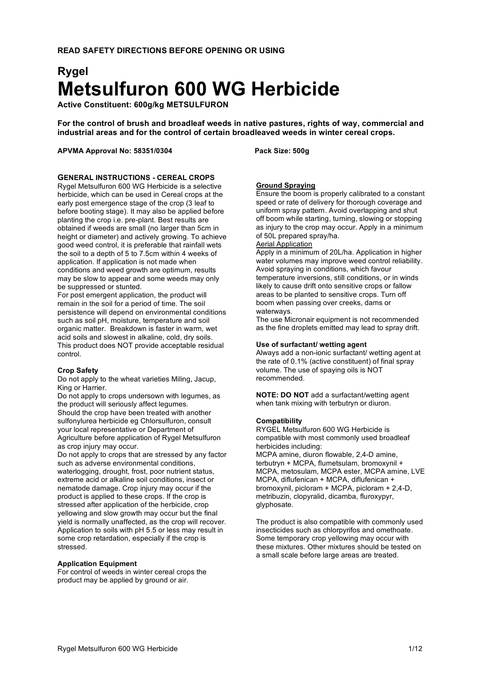# **Rygel Metsulfuron 600 WG Herbicide**

**Active Constituent: 600g/kg METSULFURON**

**For the control of brush and broadleaf weeds in native pastures, rights of way, commercial and industrial areas and for the control of certain broadleaved weeds in winter cereal crops.**

## **APVMA Approval No: 58351/0304 Pack Size: 500g**

# **GENERAL INSTRUCTIONS - CEREAL CROPS**

Rygel Metsulfuron 600 WG Herbicide is a selective herbicide, which can be used in Cereal crops at the early post emergence stage of the crop (3 leaf to before booting stage). It may also be applied before planting the crop i.e. pre-plant. Best results are obtained if weeds are small (no larger than 5cm in height or diameter) and actively growing. To achieve good weed control, it is preferable that rainfall wets the soil to a depth of 5 to 7.5cm within 4 weeks of application. If application is not made when conditions and weed growth are optimum, results may be slow to appear and some weeds may only be suppressed or stunted.

For post emergent application, the product will remain in the soil for a period of time. The soil persistence will depend on environmental conditions such as soil pH, moisture, temperature and soil organic matter. Breakdown is faster in warm, wet acid soils and slowest in alkaline, cold, dry soils. This product does NOT provide acceptable residual control.

## **Crop Safety**

Do not apply to the wheat varieties Miling, Jacup, King or Harrier.

Do not apply to crops undersown with legumes, as the product will seriously affect legumes. Should the crop have been treated with another sulfonylurea herbicide eg Chlorsulfuron, consult your local representative or Department of Agriculture before application of Rygel Metsulfuron as crop injury may occur.

Do not apply to crops that are stressed by any factor such as adverse environmental conditions, waterlogging, drought, frost, poor nutrient status, extreme acid or alkaline soil conditions, insect or nematode damage. Crop injury may occur if the product is applied to these crops. If the crop is stressed after application of the herbicide, crop yellowing and slow growth may occur but the final yield is normally unaffected, as the crop will recover. Application to soils with pH 5.5 or less may result in some crop retardation, especially if the crop is stressed.

## **Application Equipment**

For control of weeds in winter cereal crops the product may be applied by ground or air.

## **Ground Spraying**

Ensure the boom is properly calibrated to a constant speed or rate of delivery for thorough coverage and uniform spray pattern. Avoid overlapping and shut off boom while starting, turning, slowing or stopping as injury to the crop may occur. Apply in a minimum of 50L prepared spray/ha.

# Aerial Application

Apply in a minimum of 20L/ha. Application in higher water volumes may improve weed control reliability. Avoid spraying in conditions, which favour temperature inversions, still conditions, or in winds likely to cause drift onto sensitive crops or fallow areas to be planted to sensitive crops. Turn off boom when passing over creeks, dams or waterways.

The use Micronair equipment is not recommended as the fine droplets emitted may lead to spray drift.

#### **Use of surfactant/ wetting agent**

Always add a non-ionic surfactant/ wetting agent at the rate of 0.1% (active constituent) of final spray volume. The use of spaying oils is NOT recommended.

**NOTE: DO NOT** add a surfactant/wetting agent when tank mixing with terbutryn or diuron.

## **Compatibility**

RYGEL Metsulfuron 600 WG Herbicide is compatible with most commonly used broadleaf herbicides including: MCPA amine, diuron flowable, 2,4-D amine, terbutryn + MCPA, flumetsulam, bromoxynil + MCPA, metosulam, MCPA ester, MCPA amine, LVE MCPA, diflufenican + MCPA, diflufenican + bromoxynil, picloram + MCPA, picloram + 2,4-D,

metribuzin, clopyralid, dicamba, fluroxypyr, glyphosate.

The product is also compatible with commonly used insecticides such as chlorpyrifos and omethoate. Some temporary crop yellowing may occur with these mixtures. Other mixtures should be tested on a small scale before large areas are treated.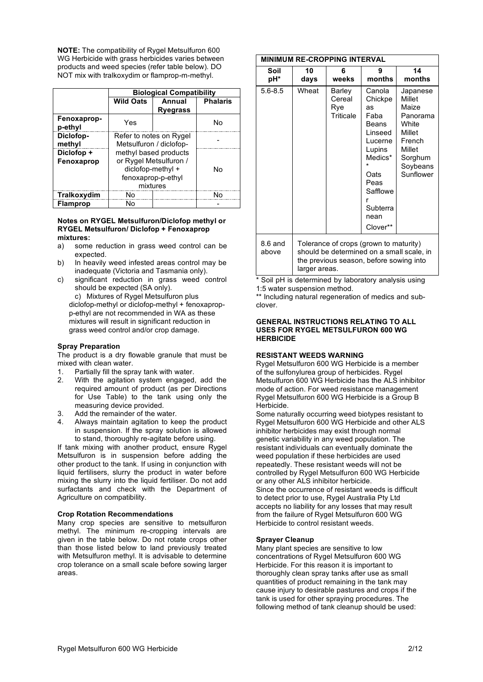**NOTE:** The compatibility of Rygel Metsulfuron 600 WG Herbicide with grass herbicides varies between products and weed species (refer table below). DO NOT mix with tralkoxydim or flamprop-m-methyl.

|                          | <b>Biological Compatibility</b>                                                                        |                 |    |  |  |  |
|--------------------------|--------------------------------------------------------------------------------------------------------|-----------------|----|--|--|--|
|                          | <b>Wild Oats</b>                                                                                       | <b>Phalaris</b> |    |  |  |  |
|                          |                                                                                                        | <b>Ryegrass</b> |    |  |  |  |
| Fenoxaprop-<br>p-ethyl   | Yes                                                                                                    |                 | No |  |  |  |
| Diclofop-<br>methyl      | Refer to notes on Rygel<br>Metsulfuron / diclofop-                                                     |                 |    |  |  |  |
| Diclofop +<br>Fenoxaprop | methyl based products<br>or Rygel Metsulfuron /<br>diclofop-methyl +<br>fenoxaprop-p-ethyl<br>mixtures | N٥              |    |  |  |  |
| Tralkoxydim              | N٥                                                                                                     |                 |    |  |  |  |
| <b>Flamprop</b>          | N٥                                                                                                     |                 |    |  |  |  |

#### **Notes on RYGEL Metsulfuron/Diclofop methyl or RYGEL Metsulfuron/ Diclofop + Fenoxaprop mixtures:**

- a) some reduction in grass weed control can be expected.
- b) In heavily weed infested areas control may be inadequate (Victoria and Tasmania only).
- c) significant reduction in grass weed control should be expected (SA only).

c) Mixtures of Rygel Metsulfuron plus diclofop-methyl or diclofop-methyl + fenoxapropp-ethyl are not recommended in WA as these mixtures will result in significant reduction in grass weed control and/or crop damage.

## **Spray Preparation**

The product is a dry flowable granule that must be mixed with clean water.

- 1. Partially fill the spray tank with water.
- 2. With the agitation system engaged, add the required amount of product (as per Directions for Use Table) to the tank using only the measuring device provided.
- 3. Add the remainder of the water.
- 4. Always maintain agitation to keep the product in suspension. If the spray solution is allowed to stand, thoroughly re-agitate before using.

If tank mixing with another product, ensure Rygel Metsulfuron is in suspension before adding the other product to the tank. If using in conjunction with liquid fertilisers, slurry the product in water before mixing the slurry into the liquid fertiliser. Do not add surfactants and check with the Department of Agriculture on compatibility.

## **Crop Rotation Recommendations**

Many crop species are sensitive to metsulfuron methyl. The minimum re-cropping intervals are given in the table below. Do not rotate crops other than those listed below to land previously treated with Metsulfuron methyl. It is advisable to determine crop tolerance on a small scale before sowing larger areas.

| <b>MINIMUM RE-CROPPING INTERVAL</b> |                                                                                                                                                 |                                      |                                                                                                                                                      |                                                                                                                    |  |  |
|-------------------------------------|-------------------------------------------------------------------------------------------------------------------------------------------------|--------------------------------------|------------------------------------------------------------------------------------------------------------------------------------------------------|--------------------------------------------------------------------------------------------------------------------|--|--|
| Soil<br>pH*                         | 10<br>days                                                                                                                                      | 6<br>weeks                           | 9<br>months                                                                                                                                          | 14<br>months                                                                                                       |  |  |
| $5.6 - 8.5$                         | Wheat                                                                                                                                           | Barley<br>Cereal<br>Rye<br>Triticale | Canola<br>Chickpe<br>as<br>Faba<br>Beans<br>Linseed<br>Lucerne<br>Lupins<br>Medics*<br>Oats<br>Peas<br>Safflowe<br>r<br>Subterra<br>nean<br>Clover** | Japanese<br>Millet<br>Maize<br>Panorama<br>White<br>Millet<br>French<br>Millet<br>Sorghum<br>Soybeans<br>Sunflower |  |  |
| $8.6$ and<br>above                  | Tolerance of crops (grown to maturity)<br>should be determined on a small scale, in<br>the previous season, before sowing into<br>larger areas. |                                      |                                                                                                                                                      |                                                                                                                    |  |  |

\* Soil pH is determined by laboratory analysis using 1:5 water suspension method.

\*\* Including natural regeneration of medics and subclover.

#### **GENERAL INSTRUCTIONS RELATING TO ALL USES FOR RYGEL METSULFURON 600 WG HERBICIDE**

## **RESISTANT WEEDS WARNING**

Rygel Metsulfuron 600 WG Herbicide is a member of the sulfonylurea group of herbicides. Rygel Metsulfuron 600 WG Herbicide has the ALS inhibitor mode of action. For weed resistance management Rygel Metsulfuron 600 WG Herbicide is a Group B Herbicide.

Some naturally occurring weed biotypes resistant to Rygel Metsulfuron 600 WG Herbicide and other ALS inhibitor herbicides may exist through normal genetic variability in any weed population. The resistant individuals can eventually dominate the weed population if these herbicides are used repeatedly. These resistant weeds will not be controlled by Rygel Metsulfuron 600 WG Herbicide or any other ALS inhibitor herbicide. Since the occurrence of resistant weeds is difficult to detect prior to use, Rygel Australia Pty Ltd accepts no liability for any losses that may result from the failure of Rygel Metsulfuron 600 WG Herbicide to control resistant weeds.

## **Sprayer Cleanup**

Many plant species are sensitive to low concentrations of Rygel Metsulfuron 600 WG Herbicide. For this reason it is important to thoroughly clean spray tanks after use as small quantities of product remaining in the tank may cause injury to desirable pastures and crops if the tank is used for other spraying procedures. The following method of tank cleanup should be used: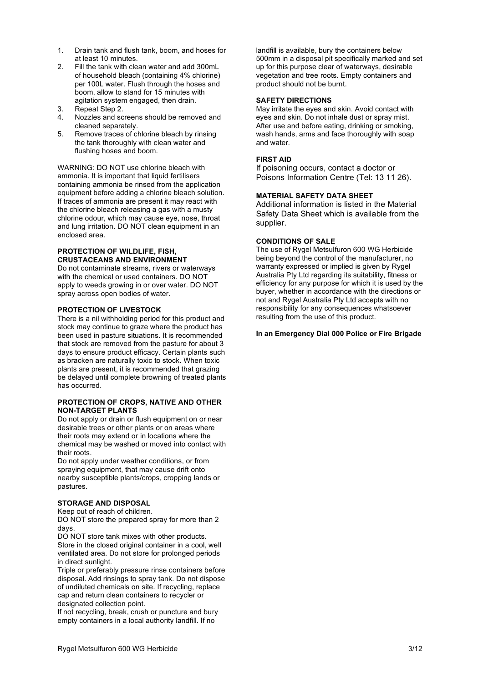- 1. Drain tank and flush tank, boom, and hoses for at least 10 minutes.
- 2. Fill the tank with clean water and add 300mL of household bleach (containing 4% chlorine) per 100L water. Flush through the hoses and boom, allow to stand for 15 minutes with agitation system engaged, then drain.
- 3. Repeat Step 2.
- 4. Nozzles and screens should be removed and cleaned separately.
- 5. Remove traces of chlorine bleach by rinsing the tank thoroughly with clean water and flushing hoses and boom.

WARNING: DO NOT use chlorine bleach with ammonia. It is important that liquid fertilisers containing ammonia be rinsed from the application equipment before adding a chlorine bleach solution. If traces of ammonia are present it may react with the chlorine bleach releasing a gas with a musty chlorine odour, which may cause eye, nose, throat and lung irritation. DO NOT clean equipment in an enclosed area.

# **PROTECTION OF WILDLIFE, FISH, CRUSTACEANS AND ENVIRONMENT**

Do not contaminate streams, rivers or waterways with the chemical or used containers. DO NOT apply to weeds growing in or over water. DO NOT spray across open bodies of water.

# **PROTECTION OF LIVESTOCK**

There is a nil withholding period for this product and stock may continue to graze where the product has been used in pasture situations. It is recommended that stock are removed from the pasture for about 3 days to ensure product efficacy. Certain plants such as bracken are naturally toxic to stock. When toxic plants are present, it is recommended that grazing be delayed until complete browning of treated plants has occurred.

## **PROTECTION OF CROPS, NATIVE AND OTHER NON-TARGET PLANTS**

Do not apply or drain or flush equipment on or near desirable trees or other plants or on areas where their roots may extend or in locations where the chemical may be washed or moved into contact with their roots.

Do not apply under weather conditions, or from spraying equipment, that may cause drift onto nearby susceptible plants/crops, cropping lands or pastures.

## **STORAGE AND DISPOSAL**

Keep out of reach of children.

DO NOT store the prepared spray for more than 2 days.

DO NOT store tank mixes with other products. Store in the closed original container in a cool, well ventilated area. Do not store for prolonged periods in direct sunlight.

Triple or preferably pressure rinse containers before disposal. Add rinsings to spray tank. Do not dispose of undiluted chemicals on site. If recycling, replace cap and return clean containers to recycler or designated collection point.

If not recycling, break, crush or puncture and bury empty containers in a local authority landfill. If no

landfill is available, bury the containers below 500mm in a disposal pit specifically marked and set up for this purpose clear of waterways, desirable vegetation and tree roots. Empty containers and product should not be burnt.

## **SAFETY DIRECTIONS**

May irritate the eyes and skin. Avoid contact with eyes and skin. Do not inhale dust or spray mist. After use and before eating, drinking or smoking, wash hands, arms and face thoroughly with soap and water.

# **FIRST AID**

If poisoning occurs, contact a doctor or Poisons Information Centre (Tel: 13 11 26).

# **MATERIAL SAFETY DATA SHEET**

Additional information is listed in the Material Safety Data Sheet which is available from the supplier.

# **CONDITIONS OF SALE**

The use of Rygel Metsulfuron 600 WG Herbicide being beyond the control of the manufacturer, no warranty expressed or implied is given by Rygel Australia Pty Ltd regarding its suitability, fitness or efficiency for any purpose for which it is used by the buyer, whether in accordance with the directions or not and Rygel Australia Pty Ltd accepts with no responsibility for any consequences whatsoever resulting from the use of this product.

## **In an Emergency Dial 000 Police or Fire Brigade**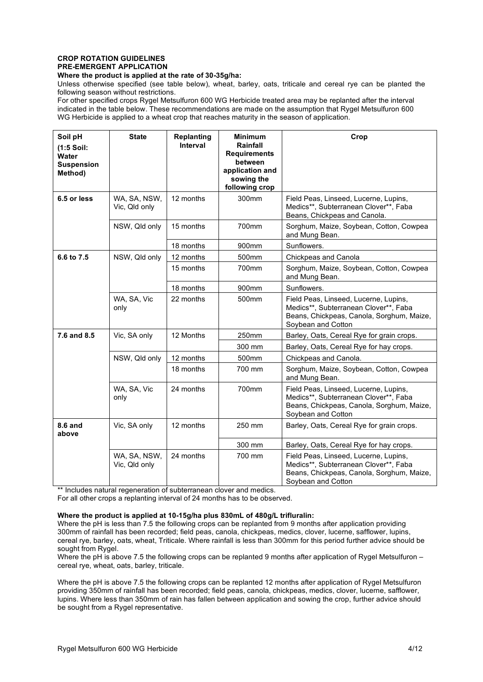# **CROP ROTATION GUIDELINES PRE-EMERGENT APPLICATION**

**Where the product is applied at the rate of 30-35g/ha:**

Unless otherwise specified (see table below), wheat, barley, oats, triticale and cereal rye can be planted the following season without restrictions.

For other specified crops Rygel Metsulfuron 600 WG Herbicide treated area may be replanted after the interval indicated in the table below. These recommendations are made on the assumption that Rygel Metsulfuron 600 WG Herbicide is applied to a wheat crop that reaches maturity in the season of application.

| Soil pH<br>$(1:5$ Soil:<br>Water<br><b>Suspension</b><br>Method) | <b>State</b>                  | <b>Replanting</b><br>Interval | <b>Minimum</b><br>Rainfall<br><b>Requirements</b><br>between<br>application and<br>sowing the<br>following crop | Crop                                                                                                                                              |
|------------------------------------------------------------------|-------------------------------|-------------------------------|-----------------------------------------------------------------------------------------------------------------|---------------------------------------------------------------------------------------------------------------------------------------------------|
| 6.5 or less                                                      | WA, SA, NSW,<br>Vic, Qld only | 12 months                     | 300mm                                                                                                           | Field Peas, Linseed, Lucerne, Lupins,<br>Medics**, Subterranean Clover**, Faba<br>Beans, Chickpeas and Canola.                                    |
|                                                                  | NSW, Qld only                 | 15 months                     | 700mm                                                                                                           | Sorghum, Maize, Soybean, Cotton, Cowpea<br>and Mung Bean.                                                                                         |
|                                                                  |                               | 18 months                     | 900mm                                                                                                           | Sunflowers.                                                                                                                                       |
| 6.6 to 7.5                                                       | NSW, Qld only                 | 12 months                     | 500mm                                                                                                           | Chickpeas and Canola                                                                                                                              |
|                                                                  |                               | 15 months                     | 700mm                                                                                                           | Sorghum, Maize, Soybean, Cotton, Cowpea<br>and Mung Bean.                                                                                         |
|                                                                  |                               | 18 months                     | 900mm                                                                                                           | Sunflowers.                                                                                                                                       |
|                                                                  | WA, SA, Vic<br>only           | 22 months                     | 500mm                                                                                                           | Field Peas, Linseed, Lucerne, Lupins,<br>Medics**, Subterranean Clover**, Faba<br>Beans, Chickpeas, Canola, Sorghum, Maize,<br>Soybean and Cotton |
| 7.6 and 8.5                                                      | Vic, SA only                  | 12 Months                     | 250mm                                                                                                           | Barley, Oats, Cereal Rye for grain crops.                                                                                                         |
|                                                                  |                               |                               | 300 mm                                                                                                          | Barley, Oats, Cereal Rye for hay crops.                                                                                                           |
|                                                                  | NSW, Qld only                 | 12 months                     | 500mm                                                                                                           | Chickpeas and Canola.                                                                                                                             |
|                                                                  |                               | 18 months                     | 700 mm                                                                                                          | Sorghum, Maize, Soybean, Cotton, Cowpea<br>and Mung Bean.                                                                                         |
|                                                                  | WA, SA, Vic<br>only           | 24 months                     | 700mm                                                                                                           | Field Peas, Linseed, Lucerne, Lupins,<br>Medics**, Subterranean Clover**, Faba<br>Beans, Chickpeas, Canola, Sorghum, Maize,<br>Soybean and Cotton |
| <b>8.6 and</b><br>above                                          | Vic, SA only                  | 12 months                     | 250 mm                                                                                                          | Barley, Oats, Cereal Rye for grain crops.                                                                                                         |
|                                                                  |                               |                               | 300 mm                                                                                                          | Barley, Oats, Cereal Rye for hay crops.                                                                                                           |
|                                                                  | WA, SA, NSW,<br>Vic, Qld only | 24 months                     | 700 mm                                                                                                          | Field Peas, Linseed, Lucerne, Lupins,<br>Medics**, Subterranean Clover**, Faba<br>Beans, Chickpeas, Canola, Sorghum, Maize,<br>Soybean and Cotton |

\*\* Includes natural regeneration of subterranean clover and medics.

For all other crops a replanting interval of 24 months has to be observed.

## **Where the product is applied at 10-15g/ha plus 830mL of 480g/L trifluralin:**

Where the pH is less than 7.5 the following crops can be replanted from 9 months after application providing 300mm of rainfall has been recorded; field peas, canola, chickpeas, medics, clover, lucerne, safflower, lupins, cereal rye, barley, oats, wheat, Triticale. Where rainfall is less than 300mm for this period further advice should be sought from Rygel.

Where the pH is above 7.5 the following crops can be replanted 9 months after application of Rygel Metsulfuron – cereal rye, wheat, oats, barley, triticale.

Where the pH is above 7.5 the following crops can be replanted 12 months after application of Rygel Metsulfuron providing 350mm of rainfall has been recorded; field peas, canola, chickpeas, medics, clover, lucerne, safflower, lupins. Where less than 350mm of rain has fallen between application and sowing the crop, further advice should be sought from a Rygel representative.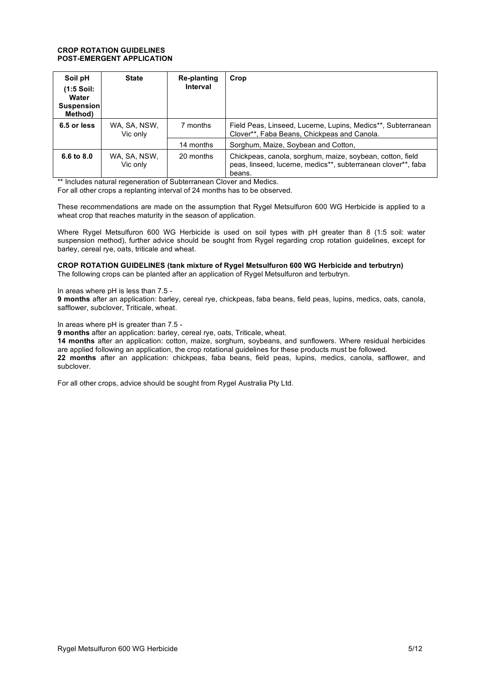## **CROP ROTATION GUIDELINES POST-EMERGENT APPLICATION**

| Soil pH<br>$(1:5$ Soil:<br>Water<br>Suspension<br>Method) | <b>State</b>             | Re-planting<br>Interval | Crop                                                                                                                                 |
|-----------------------------------------------------------|--------------------------|-------------------------|--------------------------------------------------------------------------------------------------------------------------------------|
| 6.5 or less                                               | WA, SA, NSW,<br>Vic only | 7 months                | Field Peas, Linseed, Lucerne, Lupins, Medics**, Subterranean<br>Clover**, Faba Beans, Chickpeas and Canola.                          |
|                                                           |                          | 14 months               | Sorghum, Maize, Soybean and Cotton,                                                                                                  |
| 6.6 to 8.0                                                | WA, SA, NSW,<br>Vic only | 20 months               | Chickpeas, canola, sorghum, maize, soybean, cotton, field<br>peas, linseed, lucerne, medics**, subterranean clover**, faba<br>beans. |

\*\* Includes natural regeneration of Subterranean Clover and Medics.

For all other crops a replanting interval of 24 months has to be observed.

These recommendations are made on the assumption that Rygel Metsulfuron 600 WG Herbicide is applied to a wheat crop that reaches maturity in the season of application.

Where Rygel Metsulfuron 600 WG Herbicide is used on soil types with pH greater than 8 (1:5 soil: water suspension method), further advice should be sought from Rygel regarding crop rotation guidelines, except for barley, cereal rye, oats, triticale and wheat.

#### **CROP ROTATION GUIDELINES (tank mixture of Rygel Metsulfuron 600 WG Herbicide and terbutryn)** The following crops can be planted after an application of Rygel Metsulfuron and terbutryn.

In areas where pH is less than 7.5 -

**9 months** after an application: barley, cereal rye, chickpeas, faba beans, field peas, lupins, medics, oats, canola, safflower, subclover, Triticale, wheat.

In areas where pH is greater than 7.5 -

**9 months** after an application: barley, cereal rye, oats, Triticale, wheat.

**14 months** after an application: cotton, maize, sorghum, soybeans, and sunflowers. Where residual herbicides are applied following an application, the crop rotational guidelines for these products must be followed. **22 months** after an application: chickpeas, faba beans, field peas, lupins, medics, canola, safflower, and subclover.

For all other crops, advice should be sought from Rygel Australia Pty Ltd.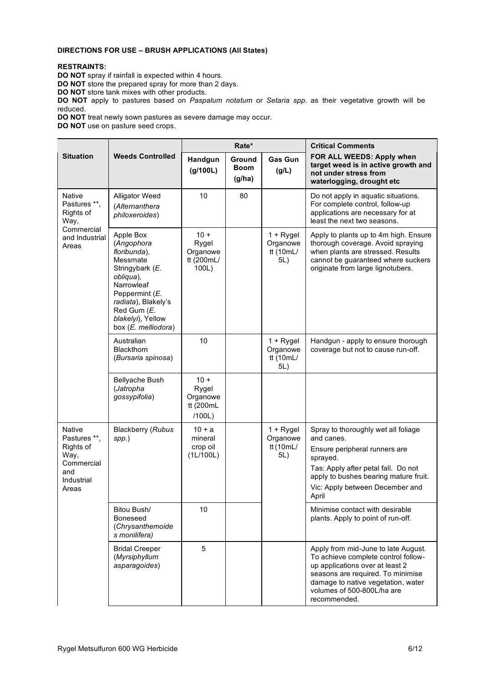# **DIRECTIONS FOR USE – BRUSH APPLICATIONS (All States)**

# **RESTRAINTS:**

**DO NOT** spray if rainfall is expected within 4 hours.

**DO NOT** store the prepared spray for more than 2 days.

**DO NOT** store tank mixes with other products.

**DO NOT** apply to pastures based on *Paspalum notatum* or *Setaria spp.* as their vegetative growth will be reduced.

**DO NOT** treat newly sown pastures as severe damage may occur.

**DO NOT** use on pasture seed crops.

|                                                                                         |                                                                                                                                                                                                       | Rate*                                              |                                 |                                             | <b>Critical Comments</b>                                                                                                                                                                                                               |
|-----------------------------------------------------------------------------------------|-------------------------------------------------------------------------------------------------------------------------------------------------------------------------------------------------------|----------------------------------------------------|---------------------------------|---------------------------------------------|----------------------------------------------------------------------------------------------------------------------------------------------------------------------------------------------------------------------------------------|
| <b>Situation</b>                                                                        | <b>Weeds Controlled</b>                                                                                                                                                                               | Handgun<br>(g/100L)                                | Ground<br><b>Boom</b><br>(g/ha) | <b>Gas Gun</b><br>(g/L)                     | FOR ALL WEEDS: Apply when<br>target weed is in active growth and<br>not under stress from<br>waterlogging, drought etc                                                                                                                 |
| Native<br>Pastures **,<br>Rights of<br>Way,                                             | Alligator Weed<br>(Alternanthera<br>philoxeroides)                                                                                                                                                    | 10                                                 | 80                              |                                             | Do not apply in aquatic situations.<br>For complete control, follow-up<br>applications are necessary for at<br>least the next two seasons.                                                                                             |
| Commercial<br>and Industrial<br>Areas                                                   | Apple Box<br>(Angophora<br>floribunda),<br>Messmate<br>Stringybark (E.<br>obliqua),<br>Narrowleaf<br>Peppermint (E.<br>radiata), Blakely's<br>Red Gum (E.<br>blakelyi), Yellow<br>box (E. melliodora) | $10 +$<br>Rygel<br>Organowe<br>tt (200mL/<br>100L) |                                 | $1 + Rygel$<br>Organowe<br>tt (10mL/<br>5L) | Apply to plants up to 4m high. Ensure<br>thorough coverage. Avoid spraying<br>when plants are stressed. Results<br>cannot be guaranteed where suckers<br>originate from large lignotubers.                                             |
|                                                                                         | Australian<br><b>Blackthorn</b><br>(Bursaria spinosa)                                                                                                                                                 | 10                                                 |                                 | $1 + Rygel$<br>Organowe<br>tt (10mL/<br>5L) | Handgun - apply to ensure thorough<br>coverage but not to cause run-off.                                                                                                                                                               |
|                                                                                         | <b>Bellyache Bush</b><br>(Jatropha<br>gossypifolia)                                                                                                                                                   | $10 +$<br>Rygel<br>Organowe<br>tt (200mL<br>/100L) |                                 |                                             |                                                                                                                                                                                                                                        |
| Native<br>Pastures **,<br>Rights of<br>Way,<br>Commercial<br>and<br>Industrial<br>Areas | <b>Blackberry (Rubus</b><br>$spp.$ )                                                                                                                                                                  | $10 + a$<br>mineral<br>crop oil<br>(1L/100L)       |                                 | $1 + Rygel$<br>Organowe<br>tt (10mL/<br>5L) | Spray to thoroughly wet all foliage<br>and canes.<br>Ensure peripheral runners are<br>sprayed.<br>Tas: Apply after petal fall. Do not<br>apply to bushes bearing mature fruit.<br>Vic: Apply between December and<br>April             |
|                                                                                         | Bitou Bush/<br><b>Boneseed</b><br>(Chrysanthemoide<br>s monilifera)                                                                                                                                   | 10                                                 |                                 |                                             | Minimise contact with desirable<br>plants. Apply to point of run-off.                                                                                                                                                                  |
|                                                                                         | <b>Bridal Creeper</b><br>(Myrsiphyllum<br>asparagoides)                                                                                                                                               | 5                                                  |                                 |                                             | Apply from mid-June to late August.<br>To achieve complete control follow-<br>up applications over at least 2<br>seasons are required. To minimise<br>damage to native vegetation, water<br>volumes of 500-800L/ha are<br>recommended. |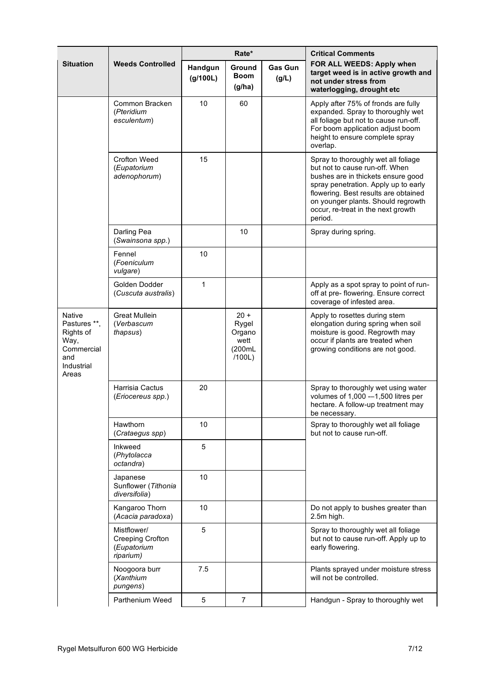|                                                                                                |                                                             | Rate*               |                                                       |                         | <b>Critical Comments</b>                                                                                                                                                                                                                                                           |
|------------------------------------------------------------------------------------------------|-------------------------------------------------------------|---------------------|-------------------------------------------------------|-------------------------|------------------------------------------------------------------------------------------------------------------------------------------------------------------------------------------------------------------------------------------------------------------------------------|
| <b>Situation</b>                                                                               | <b>Weeds Controlled</b>                                     | Handgun<br>(g/100L) | Ground<br><b>Boom</b><br>(g/ha)                       | <b>Gas Gun</b><br>(g/L) | FOR ALL WEEDS: Apply when<br>target weed is in active growth and<br>not under stress from<br>waterlogging, drought etc                                                                                                                                                             |
|                                                                                                | Common Bracken<br>(Pteridium<br>esculentum)                 | 10                  | 60                                                    |                         | Apply after 75% of fronds are fully<br>expanded. Spray to thoroughly wet<br>all foliage but not to cause run-off.<br>For boom application adjust boom<br>height to ensure complete spray<br>overlap.                                                                               |
|                                                                                                | Crofton Weed<br>(Eupatorium<br>adenophorum)                 | 15                  |                                                       |                         | Spray to thoroughly wet all foliage<br>but not to cause run-off. When<br>bushes are in thickets ensure good<br>spray penetration. Apply up to early<br>flowering. Best results are obtained<br>on younger plants. Should regrowth<br>occur, re-treat in the next growth<br>period. |
|                                                                                                | Darling Pea<br>(Swainsona spp.)                             |                     | 10                                                    |                         | Spray during spring.                                                                                                                                                                                                                                                               |
|                                                                                                | Fennel<br>(Foeniculum<br>vulgare)                           | 10                  |                                                       |                         |                                                                                                                                                                                                                                                                                    |
|                                                                                                | Golden Dodder<br>(Cuscuta australis)                        | $\mathbf{1}$        |                                                       |                         | Apply as a spot spray to point of run-<br>off at pre- flowering. Ensure correct<br>coverage of infested area.                                                                                                                                                                      |
| <b>Native</b><br>Pastures **,<br>Rights of<br>Way,<br>Commercial<br>and<br>Industrial<br>Areas | <b>Great Mullein</b><br>(Verbascum<br>thapsus)              |                     | $20 +$<br>Rygel<br>Organo<br>wett<br>(200mL<br>/100L) |                         | Apply to rosettes during stem<br>elongation during spring when soil<br>moisture is good. Regrowth may<br>occur if plants are treated when<br>growing conditions are not good.                                                                                                      |
|                                                                                                | Harrisia Cactus<br>(Eriocereus spp.)                        | 20                  |                                                       |                         | Spray to thoroughly wet using water<br>volumes of 1,000 --1,500 litres per<br>hectare. A follow-up treatment may<br>be necessary.                                                                                                                                                  |
|                                                                                                | Hawthorn<br>(Crataegus spp)                                 | 10                  |                                                       |                         | Spray to thoroughly wet all foliage<br>but not to cause run-off.                                                                                                                                                                                                                   |
|                                                                                                | Inkweed<br>(Phytolacca<br>octandra)                         | 5                   |                                                       |                         |                                                                                                                                                                                                                                                                                    |
|                                                                                                | Japanese<br>Sunflower (Tithonia<br>diversifolia)            | 10                  |                                                       |                         |                                                                                                                                                                                                                                                                                    |
|                                                                                                | Kangaroo Thorn<br>(Acacia paradoxa)                         | 10                  |                                                       |                         | Do not apply to bushes greater than<br>2.5m high.                                                                                                                                                                                                                                  |
|                                                                                                | Mistflower/<br>Creeping Crofton<br>(Eupatorium<br>riparium) | 5                   |                                                       |                         | Spray to thoroughly wet all foliage<br>but not to cause run-off. Apply up to<br>early flowering.                                                                                                                                                                                   |
|                                                                                                | Noogoora burr<br>(Xanthium<br>pungens)                      | 7.5                 |                                                       |                         | Plants sprayed under moisture stress<br>will not be controlled.                                                                                                                                                                                                                    |
|                                                                                                | Parthenium Weed                                             | 5                   | $\overline{7}$                                        |                         | Handgun - Spray to thoroughly wet                                                                                                                                                                                                                                                  |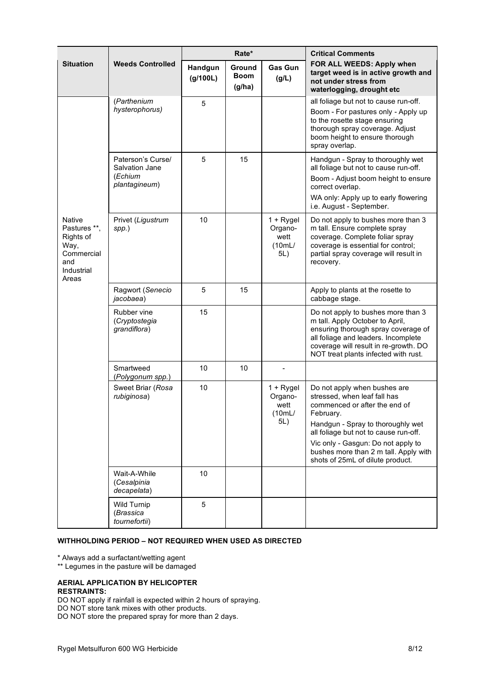|                                                                                                |                                                                 | Rate*               |                                 |                                                 | <b>Critical Comments</b>                                                                                                                                                                                                                                                                                    |
|------------------------------------------------------------------------------------------------|-----------------------------------------------------------------|---------------------|---------------------------------|-------------------------------------------------|-------------------------------------------------------------------------------------------------------------------------------------------------------------------------------------------------------------------------------------------------------------------------------------------------------------|
| <b>Situation</b>                                                                               | <b>Weeds Controlled</b>                                         | Handgun<br>(g/100L) | Ground<br><b>Boom</b><br>(g/ha) | <b>Gas Gun</b><br>(g/L)                         | FOR ALL WEEDS: Apply when<br>target weed is in active growth and<br>not under stress from<br>waterlogging, drought etc                                                                                                                                                                                      |
|                                                                                                | (Parthenium<br>hysterophorus)                                   | 5                   |                                 |                                                 | all foliage but not to cause run-off.<br>Boom - For pastures only - Apply up<br>to the rosette stage ensuring<br>thorough spray coverage. Adjust<br>boom height to ensure thorough<br>spray overlap.                                                                                                        |
|                                                                                                | Paterson's Curse/<br>Salvation Jane<br>(Echium<br>plantagineum) | 5                   | 15                              |                                                 | Handgun - Spray to thoroughly wet<br>all foliage but not to cause run-off.<br>Boom - Adjust boom height to ensure<br>correct overlap.<br>WA only: Apply up to early flowering<br>i.e. August - September.                                                                                                   |
| <b>Native</b><br>Pastures **,<br>Rights of<br>Way,<br>Commercial<br>and<br>Industrial<br>Areas | Privet (Ligustrum<br>$spp.$ )                                   | 10                  |                                 | $1 + Rygel$<br>Organo-<br>wett<br>(10mL)<br>5L) | Do not apply to bushes more than 3<br>m tall. Ensure complete spray<br>coverage. Complete foliar spray<br>coverage is essential for control;<br>partial spray coverage will result in<br>recovery.                                                                                                          |
|                                                                                                | Ragwort (Senecio<br>jacobaea)                                   | 5                   | 15                              |                                                 | Apply to plants at the rosette to<br>cabbage stage.                                                                                                                                                                                                                                                         |
|                                                                                                | Rubber vine<br>(Cryptostegia<br>grandiflora)                    | 15                  |                                 |                                                 | Do not apply to bushes more than 3<br>m tall. Apply October to April,<br>ensuring thorough spray coverage of<br>all foliage and leaders. Incomplete<br>coverage will result in re-growth. DO<br>NOT treat plants infected with rust.                                                                        |
|                                                                                                | Smartweed<br>(Polygonum spp.)                                   | 10                  | 10                              |                                                 |                                                                                                                                                                                                                                                                                                             |
|                                                                                                | Sweet Briar (Rosa<br>rubiginosa)                                | 10                  |                                 | $1 + Rygel$<br>Organo-<br>wett<br>(10mL)<br>5L) | Do not apply when bushes are<br>stressed, when leaf fall has<br>commenced or after the end of<br>February.<br>Handgun - Spray to thoroughly wet<br>all foliage but not to cause run-off.<br>Vic only - Gasgun: Do not apply to<br>bushes more than 2 m tall. Apply with<br>shots of 25mL of dilute product. |
|                                                                                                | Wait-A-While<br>(Cesalpinia<br>decapelata)                      | 10                  |                                 |                                                 |                                                                                                                                                                                                                                                                                                             |
|                                                                                                | Wild Turnip<br>(Brassica<br>tournefortii)                       | 5                   |                                 |                                                 |                                                                                                                                                                                                                                                                                                             |

# **WITHHOLDING PERIOD – NOT REQUIRED WHEN USED AS DIRECTED**

\* Always add a surfactant/wetting agent

\*\* Legumes in the pasture will be damaged

#### **AERIAL APPLICATION BY HELICOPTER RESTRAINTS:**

DO NOT apply if rainfall is expected within 2 hours of spraying.

DO NOT store tank mixes with other products.

DO NOT store the prepared spray for more than 2 days.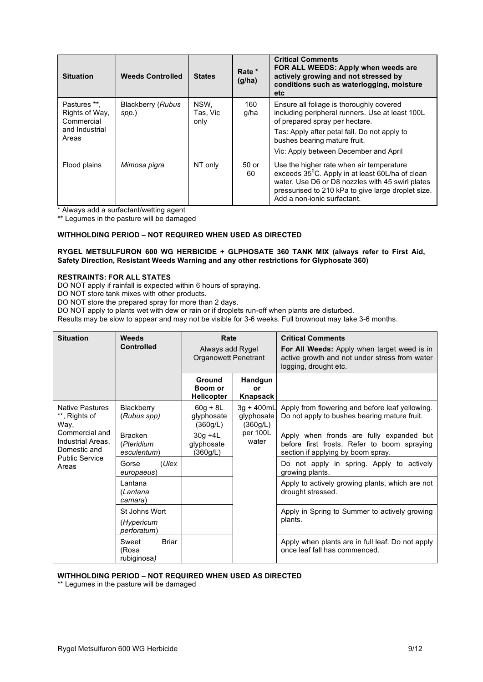| <b>Situation</b>                                                        | <b>Weeds Controlled</b>    | <b>States</b>            | Rate *<br>(g/ha) | <b>Critical Comments</b><br>FOR ALL WEEDS: Apply when weeds are<br>actively growing and not stressed by<br>conditions such as waterlogging, moisture<br>etc.                                                                                           |
|-------------------------------------------------------------------------|----------------------------|--------------------------|------------------|--------------------------------------------------------------------------------------------------------------------------------------------------------------------------------------------------------------------------------------------------------|
| Pastures **.<br>Rights of Way,<br>Commercial<br>and Industrial<br>Areas | Blackberry (Rubus<br>spp.) | NSW,<br>Tas, Vic<br>only | 160<br>g/ha      | Ensure all foliage is thoroughly covered<br>including peripheral runners. Use at least 100L<br>of prepared spray per hectare.<br>Tas: Apply after petal fall. Do not apply to<br>bushes bearing mature fruit.<br>Vic: Apply between December and April |
| Flood plains                                                            | Mimosa pigra               | NT only                  | 50 or<br>60      | Use the higher rate when air temperature<br>exceeds 35 <sup>°</sup> C. Apply in at least 60L/ha of clean<br>water. Use D6 or D8 nozzles with 45 swirl plates<br>pressurised to 210 kPa to give large droplet size.<br>Add a non-ionic surfactant.      |

\* Always add a surfactant/wetting agent

\*\* Legumes in the pasture will be damaged

# **WITHHOLDING PERIOD – NOT REQUIRED WHEN USED AS DIRECTED**

## **RYGEL METSULFURON 600 WG HERBICIDE + GLPHOSATE 360 TANK MIX (always refer to First Aid, Safety Direction, Resistant Weeds Warning and any other restrictions for Glyphosate 360)**

## **RESTRAINTS: FOR ALL STATES**

DO NOT apply if rainfall is expected within 6 hours of spraying.

DO NOT store tank mixes with other products.

DO NOT store the prepared spray for more than 2 days.

DO NOT apply to plants wet with dew or rain or if droplets run-off when plants are disturbed.

Results may be slow to appear and may not be visible for 3-6 weeks. Full brownout may take 3-6 months.

| <b>Situation</b>                                                                                                                                                                                                                             | Weeds<br><b>Controlled</b>                                                                                | Rate<br>Always add Rygel<br><b>Organowett Penetrant</b>                                         |                                                          | <b>Critical Comments</b><br>For All Weeds: Apply when target weed is in<br>active growth and not under stress from water<br>logging, drought etc. |
|----------------------------------------------------------------------------------------------------------------------------------------------------------------------------------------------------------------------------------------------|-----------------------------------------------------------------------------------------------------------|-------------------------------------------------------------------------------------------------|----------------------------------------------------------|---------------------------------------------------------------------------------------------------------------------------------------------------|
|                                                                                                                                                                                                                                              |                                                                                                           | Ground<br>Boom or<br><b>Helicopter</b>                                                          | Handgun<br>o۳<br>Knapsack                                |                                                                                                                                                   |
| <b>Native Pastures</b><br>**, Rights of<br>Way,                                                                                                                                                                                              | $60q + 8L$<br>Blackberry<br>3g + 400mL<br>glyphosate<br>(Rubus spp)<br>glyphosate<br>(360g/L)<br>(360g/L) | Apply from flowering and before leaf yellowing.<br>Do not apply to bushes bearing mature fruit. |                                                          |                                                                                                                                                   |
| Commercial and<br><b>Bracken</b><br>Industrial Areas.<br>(Pteridium<br>Domestic and<br>esculentum)<br><b>Public Service</b><br>Gorse<br>Areas<br>europaeus)<br>I antana<br>(Lantana<br>camara)<br>St Johns Wort<br>(Hypericum<br>perforatum) |                                                                                                           | $30g + 4L$<br>glyphosate<br>(360g/L)                                                            | per 100L<br>water                                        | Apply when fronds are fully expanded but<br>before first frosts. Refer to boom spraying<br>section if applying by boom spray.                     |
|                                                                                                                                                                                                                                              | (Ulex                                                                                                     |                                                                                                 |                                                          | Do not apply in spring. Apply to actively<br>growing plants.                                                                                      |
|                                                                                                                                                                                                                                              |                                                                                                           |                                                                                                 |                                                          | Apply to actively growing plants, which are not<br>drought stressed.                                                                              |
|                                                                                                                                                                                                                                              |                                                                                                           |                                                                                                 | Apply in Spring to Summer to actively growing<br>plants. |                                                                                                                                                   |
|                                                                                                                                                                                                                                              | Sweet<br>Briar<br>(Rosa<br>rubiginosa)                                                                    |                                                                                                 |                                                          | Apply when plants are in full leaf. Do not apply<br>once leaf fall has commenced.                                                                 |

## **WITHHOLDING PERIOD – NOT REQUIRED WHEN USED AS DIRECTED**

\*\* Legumes in the pasture will be damaged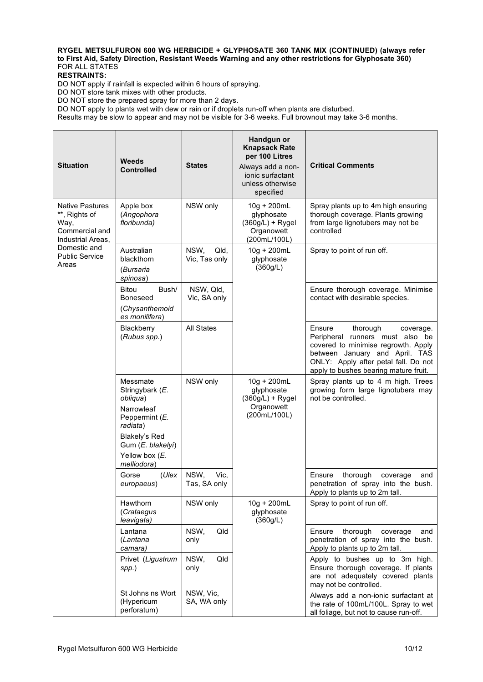# **RYGEL METSULFURON 600 WG HERBICIDE + GLYPHOSATE 360 TANK MIX (CONTINUED) (always refer to First Aid, Safety Direction, Resistant Weeds Warning and any other restrictions for Glyphosate 360)** FOR ALL STATES

**RESTRAINTS:**

DO NOT apply if rainfall is expected within 6 hours of spraying.

DO NOT store tank mixes with other products.

DO NOT store the prepared spray for more than 2 days.

DO NOT apply to plants wet with dew or rain or if droplets run-off when plants are disturbed.

Results may be slow to appear and may not be visible for 3-6 weeks. Full brownout may take 3-6 months.

| <b>Situation</b>                                                                       | Weeds<br><b>Controlled</b>                                                          | <b>States</b>                 | Handgun or<br><b>Knapsack Rate</b><br>per 100 Litres<br>Always add a non-<br>ionic surfactant<br>unless otherwise<br>specified | <b>Critical Comments</b>                                                                                                                                                                                                     |
|----------------------------------------------------------------------------------------|-------------------------------------------------------------------------------------|-------------------------------|--------------------------------------------------------------------------------------------------------------------------------|------------------------------------------------------------------------------------------------------------------------------------------------------------------------------------------------------------------------------|
| <b>Native Pastures</b><br>**, Rights of<br>Way,<br>Commercial and<br>Industrial Areas, | Apple box<br>(Angophora<br>floribunda)                                              | NSW only                      | 10g + 200mL<br>glyphosate<br>$(360g/L) + Rygel$<br>Organowett<br>(200mL/100L)                                                  | Spray plants up to 4m high ensuring<br>thorough coverage. Plants growing<br>from large lignotubers may not be<br>controlled                                                                                                  |
| Domestic and<br><b>Public Service</b><br>Areas                                         | Australian<br>blackthorn<br>(Bursaria<br>spinosa)                                   | NSW,<br>Qld,<br>Vic, Tas only | $10g + 200mL$<br>glyphosate<br>(360g/L)                                                                                        | Spray to point of run off.                                                                                                                                                                                                   |
|                                                                                        | Bitou<br>Bush/<br>Boneseed<br>(Chysanthemoid<br>es monilifera)                      | NSW, Qld,<br>Vic, SA only     |                                                                                                                                | Ensure thorough coverage. Minimise<br>contact with desirable species.                                                                                                                                                        |
|                                                                                        | Blackberry<br>(Rubus spp.)                                                          | <b>All States</b>             |                                                                                                                                | Ensure<br>thorough<br>coverage.<br>Peripheral runners must also be<br>covered to minimise regrowth. Apply<br>between January and April. TAS<br>ONLY: Apply after petal fall. Do not<br>apply to bushes bearing mature fruit. |
|                                                                                        | Messmate<br>Stringybark (E.<br>obliqua)<br>Narrowleaf<br>Peppermint (E.<br>radiata) | NSW only                      | 10g + 200mL<br>glyphosate<br>$(360g/L) + Rygel$<br>Organowett<br>(200mL/100L)                                                  | Spray plants up to 4 m high. Trees<br>growing form large lignotubers may<br>not be controlled.                                                                                                                               |
|                                                                                        | Blakely's Red<br>Gum (E. blakelyi)<br>Yellow box (E.<br>melliodora)                 |                               |                                                                                                                                |                                                                                                                                                                                                                              |
|                                                                                        | Gorse<br>(Ulex<br>europaeus)                                                        | NSW,<br>Vic.<br>Tas, SA only  |                                                                                                                                | thorough<br>Ensure<br>coverage<br>and<br>penetration of spray into the bush.<br>Apply to plants up to 2m tall.                                                                                                               |
|                                                                                        | Hawthorn<br>(Crataegus<br>leavigata)                                                | NSW only                      | 10g + 200mL<br>glyphosate<br>(360g/L)                                                                                          | Spray to point of run off.                                                                                                                                                                                                   |
|                                                                                        | Lantana<br>(Lantana<br>camara)                                                      | NSW,<br>Qld<br>only           |                                                                                                                                | thorough<br>Ensure<br>coverage<br>and<br>penetration of spray into the bush.<br>Apply to plants up to 2m tall.                                                                                                               |
|                                                                                        | Privet (Ligustrum<br>$spp.$ )                                                       | NSW,<br>Qld<br>only           |                                                                                                                                | Apply to bushes up to 3m high.<br>Ensure thorough coverage. If plants<br>are not adequately covered plants<br>may not be controlled.                                                                                         |
|                                                                                        | St Johns ns Wort<br>(Hypericum<br>perforatum)                                       | NSW, Vic,<br>SA, WA only      |                                                                                                                                | Always add a non-ionic surfactant at<br>the rate of 100mL/100L. Spray to wet<br>all foliage, but not to cause run-off.                                                                                                       |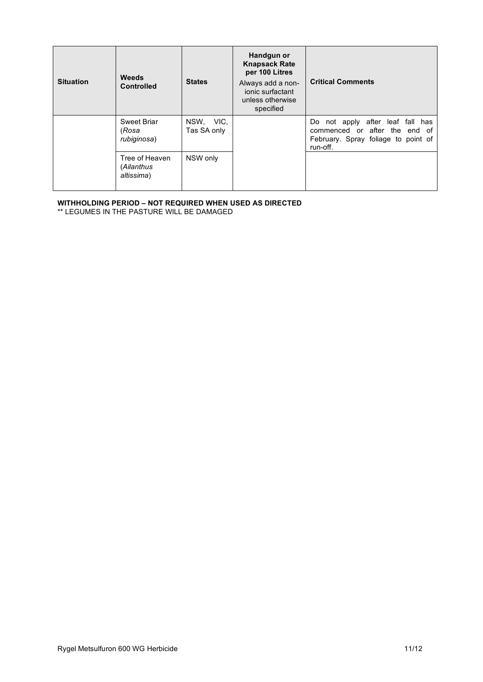| <b>Situation</b> | <b>Weeds</b><br><b>Controlled</b>          | <b>States</b>            | Handgun or<br><b>Knapsack Rate</b><br>per 100 Litres<br>Always add a non-<br>ionic surfactant<br>unless otherwise<br>specified | <b>Critical Comments</b>                                                                                             |
|------------------|--------------------------------------------|--------------------------|--------------------------------------------------------------------------------------------------------------------------------|----------------------------------------------------------------------------------------------------------------------|
|                  | Sweet Briar<br>(Rosa<br>rubiginosa)        | NSW, VIC,<br>Tas SA only |                                                                                                                                | Do not apply after leaf fall has<br>commenced or after the end of<br>February. Spray foliage to point of<br>run-off. |
|                  | Tree of Heaven<br>(Ailanthus<br>altissima) | NSW only                 |                                                                                                                                |                                                                                                                      |

# **WITHHOLDING PERIOD – NOT REQUIRED WHEN USED AS DIRECTED**

\*\* LEGUMES IN THE PASTURE WILL BE DAMAGED